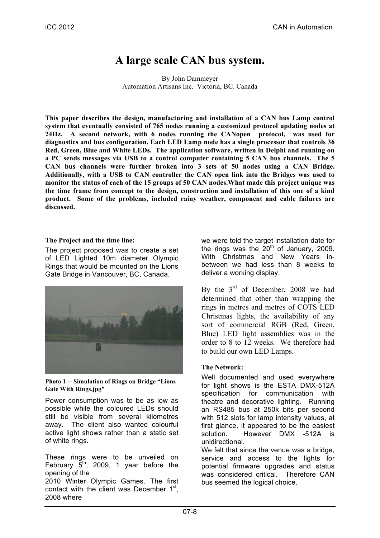# **A large scale CAN bus system.**

By John Dammeyer Automation Artisans Inc. Victoria, BC. Canada

**This paper describes the design, manufacturing and installation of a CAN bus Lamp control system that eventually consisted of 765 nodes running a customized protocol updating nodes at 24Hz. A second network, with 6 nodes running the CANopen protocol, was used for diagnostics and bus configuration. Each LED Lamp node has a single processor that controls 36 Red, Green, Blue and White LEDs. The application software, written in Delphi and running on a PC sends messages via USB to a control computer containing 5 CAN bus channels. The 5 CAN bus channels were further broken into 3 sets of 50 nodes using a CAN Bridge. Additionally, with a USB to CAN controller the CAN open link into the Bridges was used to monitor the status of each of the 15 groups of 50 CAN nodes.What made this project unique was the time frame from concept to the design, construction and installation of this one of a kind product. Some of the problems, included rainy weather, component and cable failures are discussed.**

## **The Project and the time line:**

The project proposed was to create a set of LED Lighted 10m diameter Olympic Rings that would be mounted on the Lions Gate Bridge in Vancouver, BC, Canada.



**Photo 1 -- Simulation of Rings on Bridge "Lions Gate With Rings.jpg"**

Power consumption was to be as low as possible while the coloured LEDs should still be visible from several kilometres away. The client also wanted colourful active light shows rather than a static set of white rings.

These rings were to be unveiled on February  $5<sup>th</sup>$ , 2009, 1 year before the opening of the 2010 Winter Olympic Games. The first contact with the client was December  $1<sup>st</sup>$ , 2008 where

we were told the target installation date for the rings was the  $20<sup>th</sup>$  of January, 2009. With Christmas and New Years inbetween we had less than 8 weeks to deliver a working display.

By the  $3<sup>rd</sup>$  of December, 2008 we had determined that other than wrapping the rings in metres and metres of COTS LED Christmas lights, the availability of any sort of commercial RGB (Red, Green, Blue) LED light assemblies was in the order to 8 to 12 weeks. We therefore had to build our own LED Lamps.

# **The Network:**

Well documented and used everywhere for light shows is the ESTA DMX-512A specification for communication with theatre and decorative lighting. Running an RS485 bus at 250k bits per second with 512 slots for lamp intensity values, at first glance, it appeared to be the easiest solution. However DMX -512A is unidirectional.

We felt that since the venue was a bridge, service and access to the lights for potential firmware upgrades and status was considered critical. Therefore CAN bus seemed the logical choice.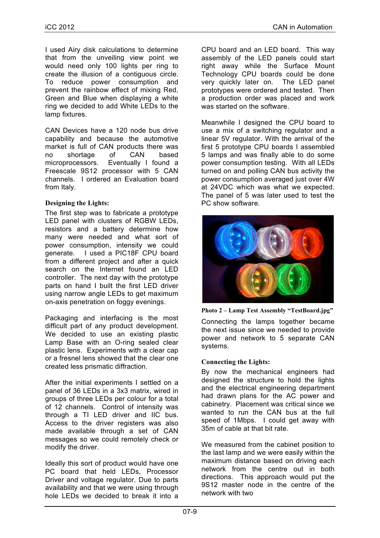I used Airy disk calculations to determine that from the unveiling view point we would need only 100 lights per ring to create the illusion of a contiguous circle. To reduce power consumption and prevent the rainbow effect of mixing Red, Green and Blue when displaying a white ring we decided to add White LEDs to the lamp fixtures.

CAN Devices have a 120 node bus drive capability and because the automotive market is full of CAN products there was no shortage of CAN based microprocessors. Eventually I found a Freescale 9S12 processor with 5 CAN channels. I ordered an Evaluation board from Italy.

## **Designing the Lights:**

The first step was to fabricate a prototype LED panel with clusters of RGBW LEDs, resistors and a battery determine how many were needed and what sort of power consumption, intensity we could generate. I used a PIC18F CPU board from a different project and after a quick search on the Internet found an LED controller. The next day with the prototype parts on hand I built the first LED driver using narrow angle LEDs to get maximum on-axis penetration on foggy evenings.

Packaging and interfacing is the most difficult part of any product development. We decided to use an existing plastic Lamp Base with an O-ring sealed clear plastic lens. Experiments with a clear cap or a fresnel lens showed that the clear one created less prismatic diffraction.

After the initial experiments I settled on a panel of 36 LEDs in a 3x3 matrix, wired in groups of three LEDs per colour for a total of 12 channels. Control of intensity was through a TI LED driver and IIC bus. Access to the driver registers was also made available through a set of CAN messages so we could remotely check or modify the driver.

Ideally this sort of product would have one PC board that held LEDs, Processor Driver and voltage regulator. Due to parts availability and that we were using through hole LEDs we decided to break it into a

CPU board and an LED board. This way assembly of the LED panels could start right away while the Surface Mount Technology CPU boards could be done very quickly later on. The LED panel prototypes were ordered and tested. Then a production order was placed and work was started on the software.

Meanwhile I designed the CPU board to use a mix of a switching regulator and a linear 5V regulator. With the arrival of the first 5 prototype CPU boards I assembled 5 lamps and was finally able to do some power consumption testing. With all LEDs turned on and polling CAN bus activity the power consumption averaged just over 4W at 24VDC which was what we expected. The panel of 5 was later used to test the PC show software.



**Photo 2 – Lamp Test Assembly "TestBoard.jpg"**

Connecting the lamps together became the next issue since we needed to provide power and network to 5 separate CAN systems.

# **Connecting the Lights:**

By now the mechanical engineers had designed the structure to hold the lights and the electrical engineering department had drawn plans for the AC power and cabinetry. Placement was critical since we wanted to run the CAN bus at the full speed of 1Mbps. I could get away with 35m of cable at that bit rate.

We measured from the cabinet position to the last lamp and we were easily within the maximum distance based on driving each network from the centre out in both directions. This approach would put the 9S12 master node in the centre of the network with two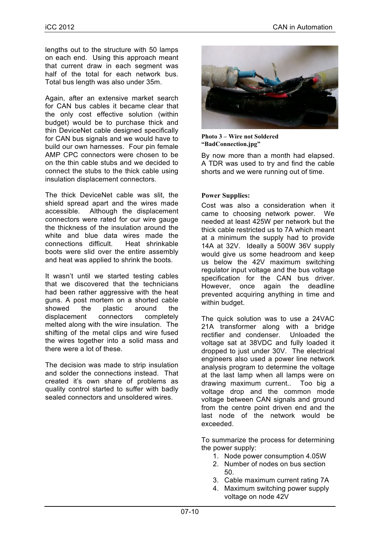lengths out to the structure with 50 lamps on each end. Using this approach meant that current draw in each segment was half of the total for each network bus. Total bus length was also under 35m.

Again, after an extensive market search for CAN bus cables it became clear that the only cost effective solution (within budget) would be to purchase thick and thin DeviceNet cable designed specifically for CAN bus signals and we would have to build our own harnesses. Four pin female AMP CPC connectors were chosen to be on the thin cable stubs and we decided to connect the stubs to the thick cable using insulation displacement connectors.

The thick DeviceNet cable was slit, the shield spread apart and the wires made accessible. Although the displacement connectors were rated for our wire gauge the thickness of the insulation around the white and blue data wires made the connections difficult. Heat shrinkable boots were slid over the entire assembly and heat was applied to shrink the boots.

It wasn't until we started testing cables that we discovered that the technicians had been rather aggressive with the heat guns. A post mortem on a shorted cable showed the plastic around the displacement connectors completely melted along with the wire insulation. The shifting of the metal clips and wire fused the wires together into a solid mass and there were a lot of these.

The decision was made to strip insulation and solder the connections instead. That created it's own share of problems as quality control started to suffer with badly sealed connectors and unsoldered wires.



**Photo 3 – Wire not Soldered "BadConnection.jpg"**

By now more than a month had elapsed. A TDR was used to try and find the cable shorts and we were running out of time.

## **Power Supplies:**

Cost was also a consideration when it came to choosing network power. We needed at least 425W per network but the thick cable restricted us to 7A which meant at a minimum the supply had to provide 14A at 32V. Ideally a 500W 36V supply would give us some headroom and keep us below the 42V maximum switching regulator input voltage and the bus voltage specification for the CAN bus driver. However, once again the deadline prevented acquiring anything in time and within budget.

The quick solution was to use a 24VAC 21A transformer along with a bridge rectifier and condenser. Unloaded the voltage sat at 38VDC and fully loaded it dropped to just under 30V. The electrical engineers also used a power line network analysis program to determine the voltage at the last lamp when all lamps were on drawing maximum current.. Too big a voltage drop and the common mode voltage between CAN signals and ground from the centre point driven end and the last node of the network would be exceeded.

To summarize the process for determining the power supply:

- 1. Node power consumption 4.05W
- 2. Number of nodes on bus section 50.
- 3. Cable maximum current rating 7A
- 4. Maximum switching power supply voltage on node 42V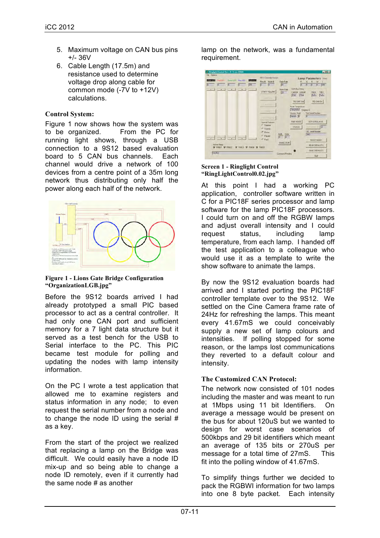- 5. Maximum voltage on CAN bus pins +/- 36V
- 6. Cable Length (17.5m) and resistance used to determine voltage drop along cable for common mode (-7V to +12V) calculations.

## **Control System:**

Figure 1 now shows how the system was to be organized. From the PC for running light shows, through a USB connection to a 9S12 based evaluation board to 5 CAN bus channels. Each channel would drive a network of 100 devices from a centre point of a 35m long network thus distributing only half the power along each half of the network.



#### **Figure 1 - Lions Gate Bridge Configuration "OrganizationLGB.jpg"**

Before the 9S12 boards arrived I had already prototyped a small PIC based processor to act as a central controller. It had only one CAN port and sufficient memory for a 7 light data structure but it served as a test bench for the USB to Serial interface to the PC. This PIC became test module for polling and updating the nodes with lamp intensity information.

On the PC I wrote a test application that allowed me to examine registers and status information in any node; to even request the serial number from a node and to change the node ID using the serial # as a key.

From the start of the project we realized that replacing a lamp on the Bridge was difficult. We could easily have a node ID mix-up and so being able to change a node ID remotely, even if it currently had the same node # as another

lamp on the network, was a fundamental requirement.

| File Options<br><b>MANTED</b>                                               | <b>Red LED</b><br>м | GreenLED Blue LED<br>10 | 匝         | Brid-mess<br>टिक | 9512 Controller Version<br>Ring II Node II<br>$0 -$<br>$\sqrt{a}$                                                            | Fade Raile<br>网                     | R<br>冈                                                                                                | Lamp Parameters (Hel)<br>255<br><b>To</b>          |
|-----------------------------------------------------------------------------|---------------------|-------------------------|-----------|------------------|------------------------------------------------------------------------------------------------------------------------------|-------------------------------------|-------------------------------------------------------------------------------------------------------|----------------------------------------------------|
| $\cdot$                                                                     | $\cdot$             | $\cdot$                 | $\bullet$ | --               | START POLLING<br>$= -1$                                                                                                      | Flash Rale<br>23                    | <b>CAN Bus Status</b><br>CarStal Comital<br>CAN COM                                                   | TeEm<br>RIEB<br>Tidlet<br>Podlar                   |
|                                                                             |                     |                         |           |                  | <b>ILLIANS</b><br>$-10$<br>$\ V\ _{L^2(\mathbb{R}^N)}\leq \ \nabla\ _{L^2(\mathbb{R}^N)}\leq \ \nabla\ _{L^2(\mathbb{R}^N)}$ |                                     | <b>RIG CAN SAM</b><br>Node Temperature<br>Tempelalur Degrees C<br>Version Build<br>Version <b>iii</b> | <b>RO CAN En</b><br><b>Find Serial Number</b><br>Ю |
|                                                                             |                     |                         |           |                  | <b>Special Features</b><br><b>C. Shimmer</b><br>C Turskin<br><b>C</b> Ficker                                                 | Add Data                            | <b>FIND NODE</b><br><b>STATUS</b>                                                                     | SET SERIAL N ID.<br>ø<br>EBE Senal Number          |
|                                                                             |                     | $   -$                  |           |                  | C Pulses<br>$C$ Flash                                                                                                        | $\sqrt{0}$<br>Ιū<br><b>WINEERON</b> |                                                                                                       | 782<br>RESET NODE                                  |
| Active Fiings<br><b>IZ RING1 IZ RING2</b><br><b>F RING3 F RING4 F RING5</b> |                     |                         |           |                  |                                                                                                                              |                                     | <b>READ DEFAULTS</b><br>SAVE DEFAULTS.                                                                |                                                    |
| RatriBut                                                                    |                     |                         |           |                  |                                                                                                                              | Command Pending                     |                                                                                                       | Our                                                |

#### **Screen 1 - Ringlight Control "RingLightControl0.02.jpg"**

At this point I had a working PC application, controller software written in C for a PIC18F series processor and lamp software for the lamp PIC18F processors. I could turn on and off the RGBW lamps and adjust overall intensity and I could request status, including lamp temperature, from each lamp. I handed off the test application to a colleague who would use it as a template to write the show software to animate the lamps.

By now the 9S12 evaluation boards had arrived and I started porting the PIC18F controller template over to the 9S12. We settled on the Cine Camera frame rate of 24Hz for refreshing the lamps. This meant every 41.67mS we could conceivably supply a new set of lamp colours and intensities. If polling stopped for some reason, or the lamps lost communications they reverted to a default colour and intensity.

# **The Customized CAN Protocol:**

The network now consisted of 101 nodes including the master and was meant to run at 1Mbps using 11 bit Identifiers. On average a message would be present on the bus for about 120uS but we wanted to design for worst case scenarios of 500kbps and 29 bit identifiers which meant an average of 135 bits or 270uS per message for a total time of 27mS. This fit into the polling window of 41.67mS.

To simplify things further we decided to pack the RGBWI information for two lamps into one 8 byte packet. Each intensity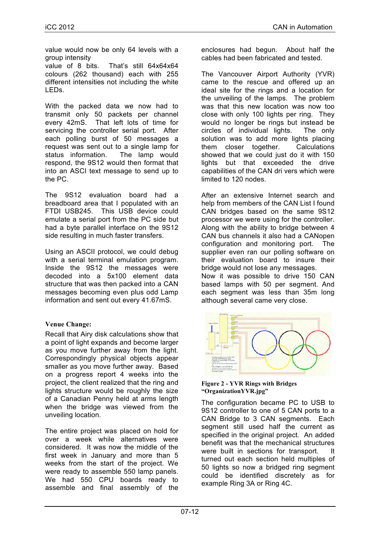value would now be only 64 levels with a group intensity

value of 8 bits. That's still 64x64x64 colours (262 thousand) each with 255 different intensities not including the white LEDs.

With the packed data we now had to transmit only 50 packets per channel every 42mS. That left lots of time for servicing the controller serial port. After each polling burst of 50 messages a request was sent out to a single lamp for status information. The lamp would respond, the 9S12 would then format that into an ASCI text message to send up to the PC.

The 9S12 evaluation board had a breadboard area that I populated with an FTDI USB245. This USB device could emulate a serial port from the PC side but had a byte parallel interface on the 9S12 side resulting in much faster transfers.

Using an ASCII protocol, we could debug with a serial terminal emulation program. Inside the 9S12 the messages were decoded into a 5x100 element data structure that was then packed into a CAN messages becoming even plus odd Lamp information and sent out every 41.67mS.

# **Venue Change:**

Recall that Airy disk calculations show that a point of light expands and become larger as you move further away from the light. Correspondingly physical objects appear smaller as you move further away. Based on a progress report 4 weeks into the project, the client realized that the ring and lights structure would be roughly the size of a Canadian Penny held at arms length when the bridge was viewed from the unveiling location.

The entire project was placed on hold for over a week while alternatives were considered. It was now the middle of the first week in January and more than 5 weeks from the start of the project. We were ready to assemble 550 lamp panels. We had 550 CPU boards ready to assemble and final assembly of the enclosures had begun. About half the cables had been fabricated and tested.

The Vancouver Airport Authority (YVR) came to the rescue and offered up an ideal site for the rings and a location for the unveiling of the lamps. The problem was that this new location was now too close with only 100 lights per ring. They would no longer be rings but instead be circles of individual lights. The only solution was to add more lights placing them closer together. Calculations showed that we could just do it with 150 lights but that exceeded the drive capabilities of the CAN dri vers which were limited to 120 nodes.

After an extensive Internet search and help from members of the CAN List I found CAN bridges based on the same 9S12 processor we were using for the controller. Along with the ability to bridge between 4 CAN bus channels it also had a CANopen configuration and monitoring port. The supplier even ran our polling software on their evaluation board to insure their bridge would not lose any messages. Now it was possible to drive 150 CAN based lamps with 50 per segment. And each segment was less than 35m long although several came very close.



**Figure 2 - YVR Rings with Bridges "OrganizationYVR.jpg"**

The configuration became PC to USB to 9S12 controller to one of 5 CAN ports to a CAN Bridge to 3 CAN segments. Each segment still used half the current as specified in the original project. An added benefit was that the mechanical structures were built in sections for transport. It turned out each section held multiples of 50 lights so now a bridged ring segment could be identified discretely as for example Ring 3A or Ring 4C.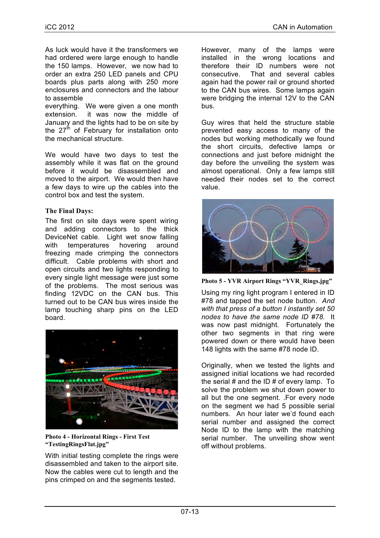As luck would have it the transformers we had ordered were large enough to handle the 150 lamps. However, we now had to order an extra 250 LED panels and CPU boards plus parts along with 250 more enclosures and connectors and the labour to assemble

everything. We were given a one month extension. it was now the middle of January and the lights had to be on site by the  $27<sup>th</sup>$  of February for installation onto the mechanical structure.

We would have two days to test the assembly while it was flat on the ground before it would be disassembled and moved to the airport. We would then have a few days to wire up the cables into the control box and test the system.

## **The Final Days:**

The first on site days were spent wiring and adding connectors to the thick DeviceNet cable. Light wet snow falling with temperatures hovering around freezing made crimping the connectors difficult. Cable problems with short and open circuits and two lights responding to every single light message were just some of the problems. The most serious was finding 12VDC on the CAN bus. This turned out to be CAN bus wires inside the lamp touching sharp pins on the LED board.



**Photo 4 - Horizontal Rings - First Test "TestingRingsFlat.jpg"**

With initial testing complete the rings were disassembled and taken to the airport site. Now the cables were cut to length and the pins crimped on and the segments tested.

However, many of the lamps were installed in the wrong locations and therefore their ID numbers were not consecutive. That and several cables again had the power rail or ground shorted to the CAN bus wires. Some lamps again were bridging the internal 12V to the CAN bus.

Guy wires that held the structure stable prevented easy access to many of the nodes but working methodically we found the short circuits, defective lamps or connections and just before midnight the day before the unveiling the system was almost operational. Only a few lamps still needed their nodes set to the correct value.



**Photo 5 - YVR Airport Rings "YVR\_Rings.jpg"**

Using my ring light program I entered in ID #78 and tapped the set node button. *And with that press of a button I instantly set 50 nodes to have the same node ID #78.* It was now past midnight. Fortunately the other two segments in that ring were powered down or there would have been 148 lights with the same #78 node ID.

Originally, when we tested the lights and assigned initial locations we had recorded the serial  $#$  and the ID  $#$  of every lamp. To solve the problem we shut down power to all but the one segment. .For every node on the segment we had 5 possible serial numbers. An hour later we'd found each serial number and assigned the correct Node ID to the lamp with the matching serial number. The unveiling show went off without problems.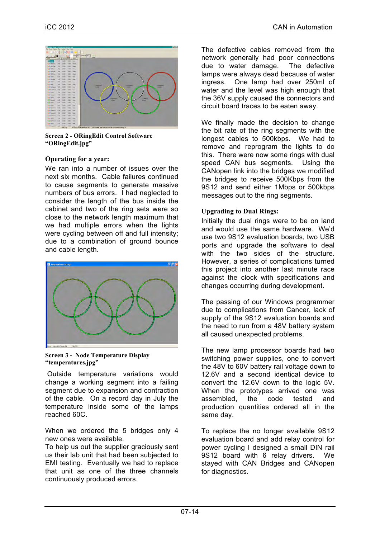

**Screen 2 - ORingEdit Control Software "ORingEdit.jpg"**

## **Operating for a year:**

We ran into a number of issues over the next six months. Cable failures continued to cause segments to generate massive numbers of bus errors. I had neglected to consider the length of the bus inside the cabinet and two of the ring sets were so close to the network length maximum that we had multiple errors when the lights were cycling between off and full intensity; due to a combination of ground bounce and cable length.



**Screen 3 - Node Temperature Display "temperatures.jpg"**

Outside temperature variations would change a working segment into a failing segment due to expansion and contraction of the cable. On a record day in July the temperature inside some of the lamps reached 60C.

When we ordered the 5 bridges only 4 new ones were available.

To help us out the supplier graciously sent us their lab unit that had been subjected to EMI testing. Eventually we had to replace that unit as one of the three channels continuously produced errors.

The defective cables removed from the network generally had poor connections due to water damage. The defective lamps were always dead because of water ingress. One lamp had over 250ml of water and the level was high enough that the 36V supply caused the connectors and circuit board traces to be eaten away.

We finally made the decision to change the bit rate of the ring segments with the longest cables to 500kbps. We had to remove and reprogram the lights to do this. There were now some rings with dual speed CAN bus segments. Using the CANopen link into the bridges we modified the bridges to receive 500Kbps from the 9S12 and send either 1Mbps or 500kbps messages out to the ring segments.

### **Upgrading to Dual Rings:**

Initially the dual rings were to be on land and would use the same hardware. We'd use two 9S12 evaluation boards, two USB ports and upgrade the software to deal with the two sides of the structure. However, a series of complications turned this project into another last minute race against the clock with specifications and changes occurring during development.

The passing of our Windows programmer due to complications from Cancer, lack of supply of the 9S12 evaluation boards and the need to run from a 48V battery system all caused unexpected problems.

The new lamp processor boards had two switching power supplies, one to convert the 48V to 60V battery rail voltage down to 12.6V and a second identical device to convert the 12.6V down to the logic 5V. When the prototypes arrived one was assembled, the code tested and production quantities ordered all in the same day.

To replace the no longer available 9S12 evaluation board and add relay control for power cycling I designed a small DIN rail 9S12 board with 6 relay drivers. We stayed with CAN Bridges and CANopen for diagnostics.